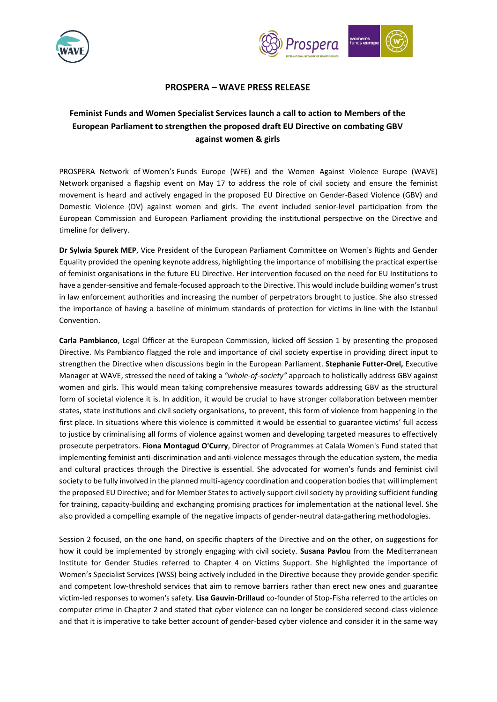



## **PROSPERA – WAVE PRESS RELEASE**

## **Feminist Funds and Women Specialist Services launch a call to action to Members of the European Parliament to strengthen the proposed draft EU Directive on combating GBV against women & girls**

PROSPERA Network of Women's Funds Europe (WFE) and the Women Against Violence Europe (WAVE) Network organised a flagship event on May 17 to address the role of civil society and ensure the feminist movement is heard and actively engaged in the proposed EU Directive on Gender-Based Violence (GBV) and Domestic Violence (DV) against women and girls. The event included senior-level participation from the European Commission and European Parliament providing the institutional perspective on the Directive and timeline for delivery.

**Dr Sylwia Spurek MEP**, Vice President of the European Parliament Committee on Women's Rights and Gender Equality provided the opening keynote address, highlighting the importance of mobilising the practical expertise of feminist organisations in the future EU Directive. Her intervention focused on the need for EU Institutions to have a gender-sensitive and female-focused approach to the Directive. This would include building women's trust in law enforcement authorities and increasing the number of perpetrators brought to justice. She also stressed the importance of having a baseline of minimum standards of protection for victims in line with the Istanbul Convention.

**Carla Pambianco**, Legal Officer at the European Commission, kicked off Session 1 by presenting the proposed Directive. Ms Pambianco flagged the role and importance of civil society expertise in providing direct input to strengthen the Directive when discussions begin in the European Parliament. **Stephanie Futter-Orel,** Executive Manager at WAVE, stressed the need of taking a *"whole-of-society"* approach to holistically address GBV against women and girls. This would mean taking comprehensive measures towards addressing GBV as the structural form of societal violence it is. In addition, it would be crucial to have stronger collaboration between member states, state institutions and civil society organisations, to prevent, this form of violence from happening in the first place. In situations where this violence is committed it would be essential to guarantee victims' full access to justice by criminalising all forms of violence against women and developing targeted measures to effectively prosecute perpetrators. **Fiona Montagud O'Curry**, Director of Programmes at Calala Women's Fund stated that implementing feminist anti-discrimination and anti-violence messages through the education system, the media and cultural practices through the Directive is essential. She advocated for women's funds and feminist civil society to be fully involved in the planned multi-agency coordination and cooperation bodies that will implement the proposed EU Directive; and for Member States to actively support civil society by providing sufficient funding for training, capacity-building and exchanging promising practices for implementation at the national level. She also provided a compelling example of the negative impacts of gender-neutral data-gathering methodologies.

Session 2 focused, on the one hand, on specific chapters of the Directive and on the other, on suggestions for how it could be implemented by strongly engaging with civil society. **Susana Pavlou** from the Mediterranean Institute for Gender Studies referred to Chapter 4 on Victims Support. She highlighted the importance of Women's Specialist Services (WSS) being actively included in the Directive because they provide gender-specific and competent low-threshold services that aim to remove barriers rather than erect new ones and guarantee victim-led responses to women's safety. **Lisa Gauvin-Drillaud** co-founder of Stop-Fisha referred to the articles on computer crime in Chapter 2 and stated that cyber violence can no longer be considered second-class violence and that it is imperative to take better account of gender-based cyber violence and consider it in the same way